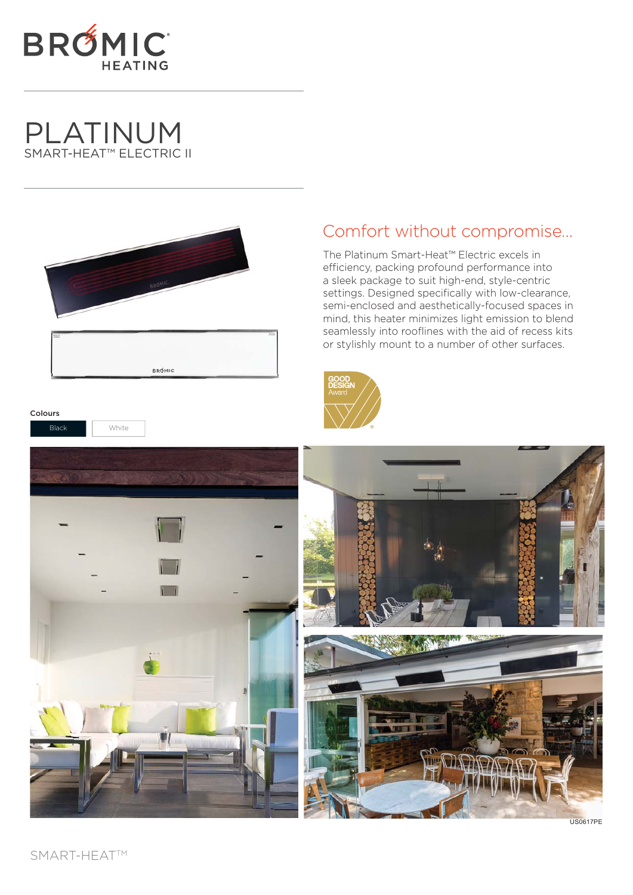

# PLATINUM SMART-HEAT™ ELECTRIC II

Black | White

Colours



## Comfort without compromise…

The Platinum Smart-Heat™ Electric excels in efficiency, packing profound performance into a sleek package to suit high-end, style-centric settings. Designed specifically with low-clearance, semi-enclosed and aesthetically-focused spaces in mind, this heater minimizes light emission to blend seamlessly into rooflines with the aid of recess kits or stylishly mount to a number of other surfaces.





US0617PE